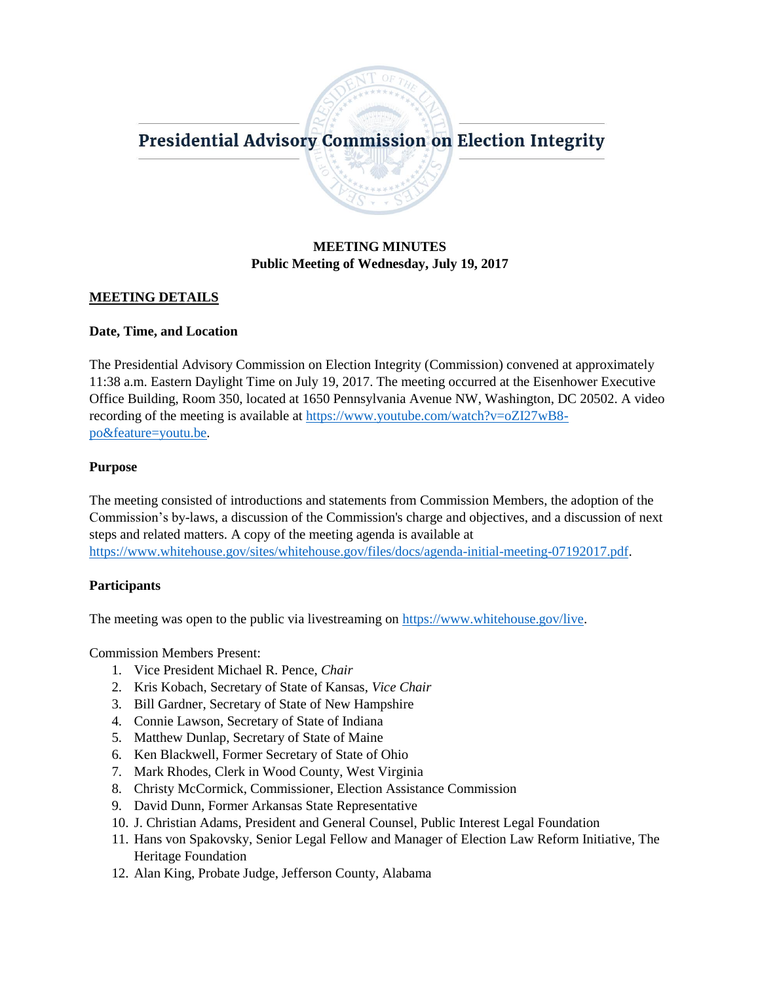# Presidential Advisory Commission on Election Integrity

# **MEETING MINUTES Public Meeting of Wednesday, July 19, 2017**

### **MEETING DETAILS**

### **Date, Time, and Location**

The Presidential Advisory Commission on Election Integrity (Commission) convened at approximately 11:38 a.m. Eastern Daylight Time on July 19, 2017. The meeting occurred at the Eisenhower Executive Office Building, Room 350, located at 1650 Pennsylvania Avenue NW, Washington, DC 20502. A video recording of the meeting is available at [https://www.youtube.com/watch?v=oZI27wB8](https://www.youtube.com/watch?v=oZI27wB8-po&feature=youtu.be) [po&feature=youtu.be.](https://www.youtube.com/watch?v=oZI27wB8-po&feature=youtu.be)

### **Purpose**

The meeting consisted of introductions and statements from Commission Members, the adoption of the Commission's by-laws, a discussion of the Commission's charge and objectives, and a discussion of next steps and related matters. A copy of the meeting agenda is available at [https://www.whitehouse.gov/sites/whitehouse.gov/files/docs/agenda-initial-meeting-07192017.pdf.](https://www.whitehouse.gov/sites/whitehouse.gov/files/docs/agenda-initial-meeting-07192017.pdf)

### **Participants**

The meeting was open to the public via livestreaming on [https://www.whitehouse.gov/live.](https://www.whitehouse.gov/live)

Commission Members Present:

- 1. Vice President Michael R. Pence, *Chair*
- 2. Kris Kobach, Secretary of State of Kansas, *Vice Chair*
- 3. Bill Gardner, Secretary of State of New Hampshire
- 4. Connie Lawson, Secretary of State of Indiana
- 5. Matthew Dunlap, Secretary of State of Maine
- 6. Ken Blackwell, Former Secretary of State of Ohio
- 7. Mark Rhodes, Clerk in Wood County, West Virginia
- 8. Christy McCormick, Commissioner, Election Assistance Commission
- 9. David Dunn, Former Arkansas State Representative
- 10. J. Christian Adams, President and General Counsel, Public Interest Legal Foundation
- 11. Hans von Spakovsky, Senior Legal Fellow and Manager of Election Law Reform Initiative, The Heritage Foundation
- 12. Alan King, Probate Judge, Jefferson County, Alabama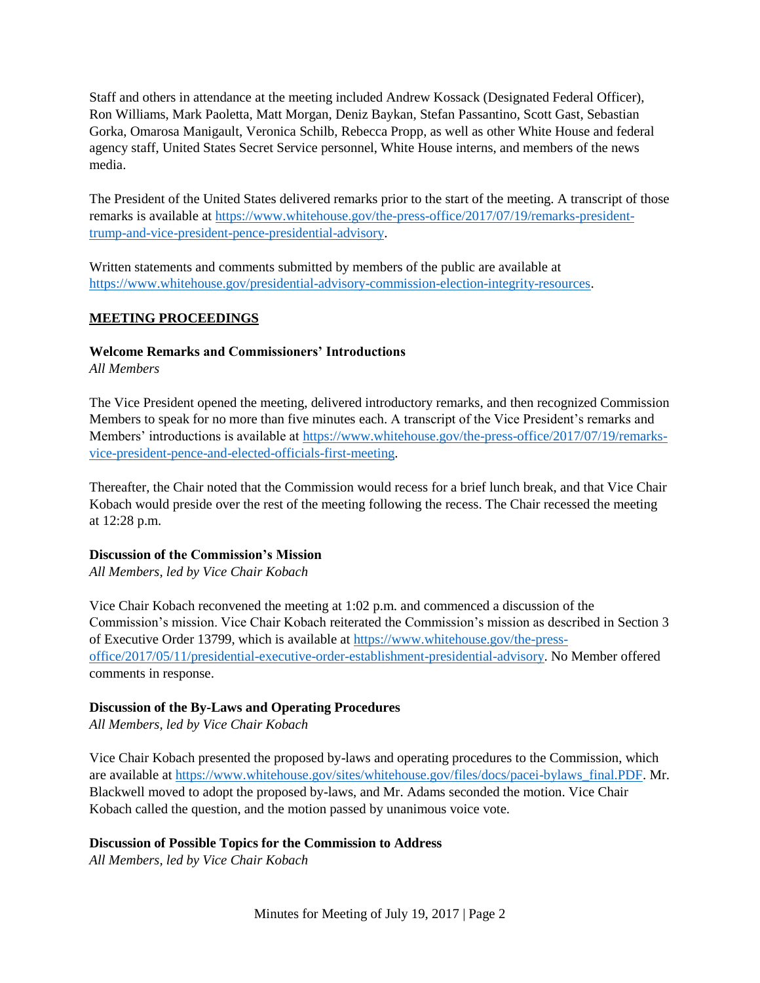Staff and others in attendance at the meeting included Andrew Kossack (Designated Federal Officer), Ron Williams, Mark Paoletta, Matt Morgan, Deniz Baykan, Stefan Passantino, Scott Gast, Sebastian Gorka, Omarosa Manigault, Veronica Schilb, Rebecca Propp, as well as other White House and federal agency staff, United States Secret Service personnel, White House interns, and members of the news media.

The President of the United States delivered remarks prior to the start of the meeting. A transcript of those remarks is available at [https://www.whitehouse.gov/the-press-office/2017/07/19/remarks-president](https://www.whitehouse.gov/the-press-office/2017/07/19/remarks-president-trump-and-vice-president-pence-presidential-advisory)[trump-and-vice-president-pence-presidential-advisory.](https://www.whitehouse.gov/the-press-office/2017/07/19/remarks-president-trump-and-vice-president-pence-presidential-advisory)

Written statements and comments submitted by members of the public are available at [https://www.whitehouse.gov/presidential-advisory-commission-election-integrity-resources.](https://www.whitehouse.gov/presidential-advisory-commission-election-integrity-resources)

# **MEETING PROCEEDINGS**

# **Welcome Remarks and Commissioners' Introductions**

*All Members* 

The Vice President opened the meeting, delivered introductory remarks, and then recognized Commission Members to speak for no more than five minutes each. A transcript of the Vice President's remarks and Members' introductions is available at [https://www.whitehouse.gov/the-press-office/2017/07/19/remarks](https://www.whitehouse.gov/the-press-office/2017/07/19/remarks-vice-president-pence-and-elected-officials-first-meeting)[vice-president-pence-and-elected-officials-first-meeting.](https://www.whitehouse.gov/the-press-office/2017/07/19/remarks-vice-president-pence-and-elected-officials-first-meeting)

Thereafter, the Chair noted that the Commission would recess for a brief lunch break, and that Vice Chair Kobach would preside over the rest of the meeting following the recess. The Chair recessed the meeting at 12:28 p.m.

## **Discussion of the Commission's Mission**

*All Members, led by Vice Chair Kobach*

Vice Chair Kobach reconvened the meeting at 1:02 p.m. and commenced a discussion of the Commission's mission. Vice Chair Kobach reiterated the Commission's mission as described in Section 3 of Executive Order 13799, which is available at [https://www.whitehouse.gov/the-press](https://www.whitehouse.gov/the-press-office/2017/05/11/presidential-executive-order-establishment-presidential-advisory)[office/2017/05/11/presidential-executive-order-establishment-presidential-advisory.](https://www.whitehouse.gov/the-press-office/2017/05/11/presidential-executive-order-establishment-presidential-advisory) No Member offered comments in response.

## **Discussion of the By-Laws and Operating Procedures**

*All Members, led by Vice Chair Kobach*

Vice Chair Kobach presented the proposed by-laws and operating procedures to the Commission, which are available at [https://www.whitehouse.gov/sites/whitehouse.gov/files/docs/pacei-bylaws\\_final.PDF.](https://www.whitehouse.gov/sites/whitehouse.gov/files/docs/pacei-bylaws_final.PDF) Mr. Blackwell moved to adopt the proposed by-laws, and Mr. Adams seconded the motion. Vice Chair Kobach called the question, and the motion passed by unanimous voice vote.

## **Discussion of Possible Topics for the Commission to Address**

*All Members, led by Vice Chair Kobach*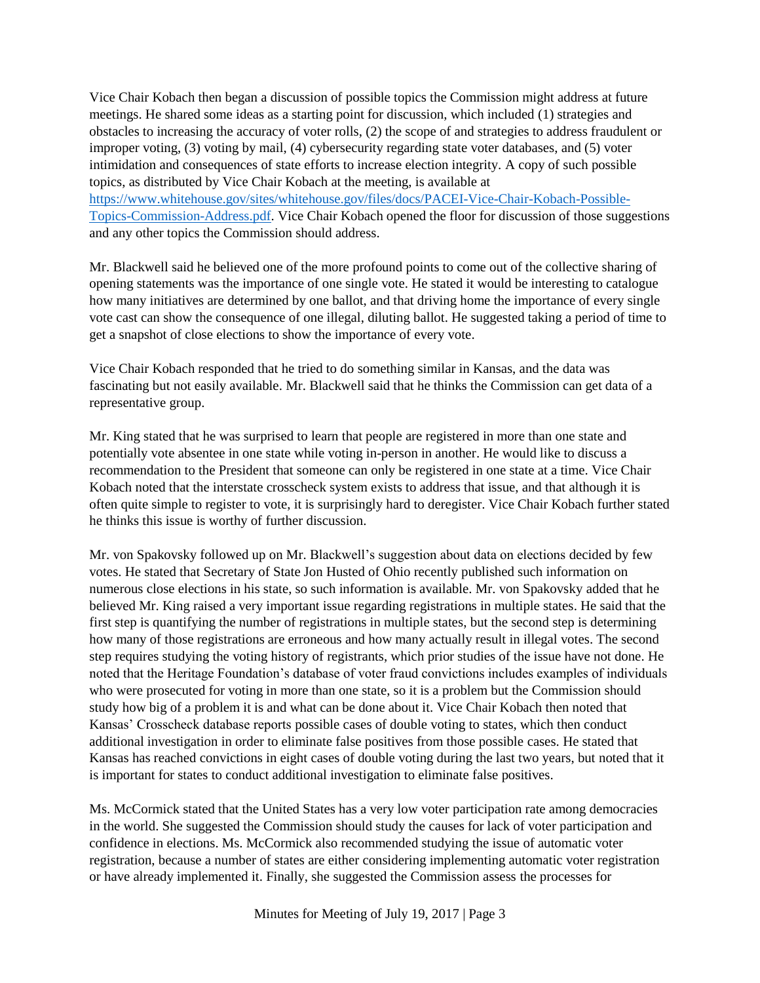Vice Chair Kobach then began a discussion of possible topics the Commission might address at future meetings. He shared some ideas as a starting point for discussion, which included (1) strategies and obstacles to increasing the accuracy of voter rolls, (2) the scope of and strategies to address fraudulent or improper voting, (3) voting by mail, (4) cybersecurity regarding state voter databases, and (5) voter intimidation and consequences of state efforts to increase election integrity. A copy of such possible topics, as distributed by Vice Chair Kobach at the meeting, is available at [https://www.whitehouse.gov/sites/whitehouse.gov/files/docs/PACEI-Vice-Chair-Kobach-Possible-](https://www.whitehouse.gov/sites/whitehouse.gov/files/docs/PACEI-Vice-Chair-Kobach-Possible-Topics-Commission-Address.pdf)

[Topics-Commission-Address.pdf.](https://www.whitehouse.gov/sites/whitehouse.gov/files/docs/PACEI-Vice-Chair-Kobach-Possible-Topics-Commission-Address.pdf) Vice Chair Kobach opened the floor for discussion of those suggestions and any other topics the Commission should address.

Mr. Blackwell said he believed one of the more profound points to come out of the collective sharing of opening statements was the importance of one single vote. He stated it would be interesting to catalogue how many initiatives are determined by one ballot, and that driving home the importance of every single vote cast can show the consequence of one illegal, diluting ballot. He suggested taking a period of time to get a snapshot of close elections to show the importance of every vote.

Vice Chair Kobach responded that he tried to do something similar in Kansas, and the data was fascinating but not easily available. Mr. Blackwell said that he thinks the Commission can get data of a representative group.

Mr. King stated that he was surprised to learn that people are registered in more than one state and potentially vote absentee in one state while voting in-person in another. He would like to discuss a recommendation to the President that someone can only be registered in one state at a time. Vice Chair Kobach noted that the interstate crosscheck system exists to address that issue, and that although it is often quite simple to register to vote, it is surprisingly hard to deregister. Vice Chair Kobach further stated he thinks this issue is worthy of further discussion.

Mr. von Spakovsky followed up on Mr. Blackwell's suggestion about data on elections decided by few votes. He stated that Secretary of State Jon Husted of Ohio recently published such information on numerous close elections in his state, so such information is available. Mr. von Spakovsky added that he believed Mr. King raised a very important issue regarding registrations in multiple states. He said that the first step is quantifying the number of registrations in multiple states, but the second step is determining how many of those registrations are erroneous and how many actually result in illegal votes. The second step requires studying the voting history of registrants, which prior studies of the issue have not done. He noted that the Heritage Foundation's database of voter fraud convictions includes examples of individuals who were prosecuted for voting in more than one state, so it is a problem but the Commission should study how big of a problem it is and what can be done about it. Vice Chair Kobach then noted that Kansas' Crosscheck database reports possible cases of double voting to states, which then conduct additional investigation in order to eliminate false positives from those possible cases. He stated that Kansas has reached convictions in eight cases of double voting during the last two years, but noted that it is important for states to conduct additional investigation to eliminate false positives.

Ms. McCormick stated that the United States has a very low voter participation rate among democracies in the world. She suggested the Commission should study the causes for lack of voter participation and confidence in elections. Ms. McCormick also recommended studying the issue of automatic voter registration, because a number of states are either considering implementing automatic voter registration or have already implemented it. Finally, she suggested the Commission assess the processes for

Minutes for Meeting of July 19, 2017 | Page 3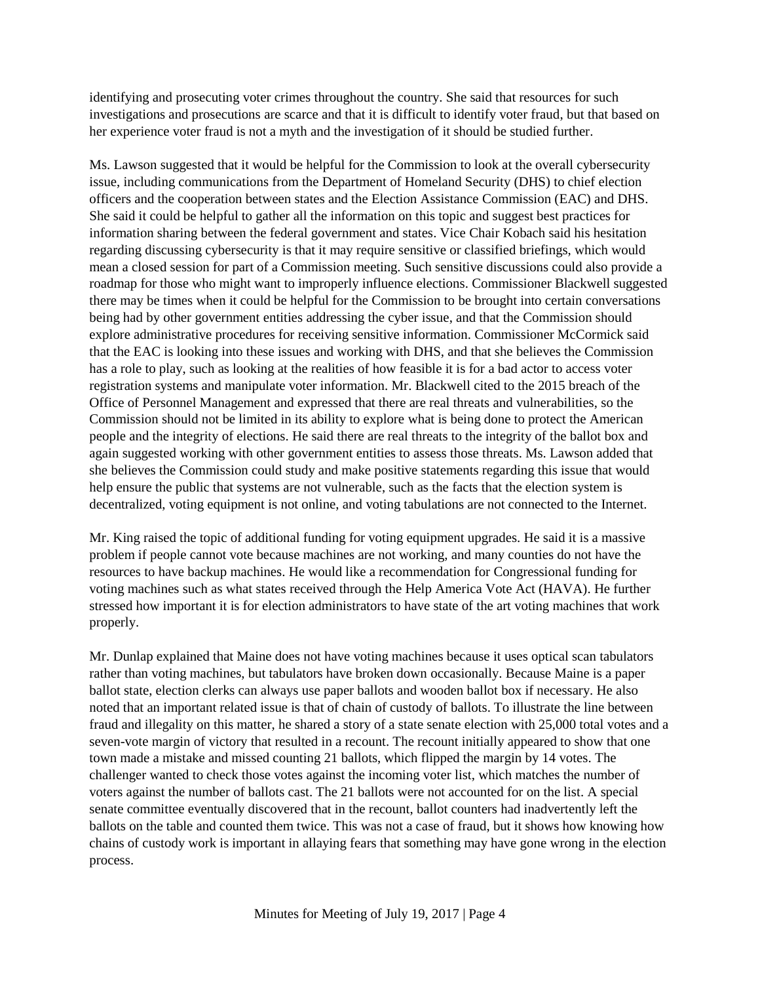identifying and prosecuting voter crimes throughout the country. She said that resources for such investigations and prosecutions are scarce and that it is difficult to identify voter fraud, but that based on her experience voter fraud is not a myth and the investigation of it should be studied further.

Ms. Lawson suggested that it would be helpful for the Commission to look at the overall cybersecurity issue, including communications from the Department of Homeland Security (DHS) to chief election officers and the cooperation between states and the Election Assistance Commission (EAC) and DHS. She said it could be helpful to gather all the information on this topic and suggest best practices for information sharing between the federal government and states. Vice Chair Kobach said his hesitation regarding discussing cybersecurity is that it may require sensitive or classified briefings, which would mean a closed session for part of a Commission meeting. Such sensitive discussions could also provide a roadmap for those who might want to improperly influence elections. Commissioner Blackwell suggested there may be times when it could be helpful for the Commission to be brought into certain conversations being had by other government entities addressing the cyber issue, and that the Commission should explore administrative procedures for receiving sensitive information. Commissioner McCormick said that the EAC is looking into these issues and working with DHS, and that she believes the Commission has a role to play, such as looking at the realities of how feasible it is for a bad actor to access voter registration systems and manipulate voter information. Mr. Blackwell cited to the 2015 breach of the Office of Personnel Management and expressed that there are real threats and vulnerabilities, so the Commission should not be limited in its ability to explore what is being done to protect the American people and the integrity of elections. He said there are real threats to the integrity of the ballot box and again suggested working with other government entities to assess those threats. Ms. Lawson added that she believes the Commission could study and make positive statements regarding this issue that would help ensure the public that systems are not vulnerable, such as the facts that the election system is decentralized, voting equipment is not online, and voting tabulations are not connected to the Internet.

Mr. King raised the topic of additional funding for voting equipment upgrades. He said it is a massive problem if people cannot vote because machines are not working, and many counties do not have the resources to have backup machines. He would like a recommendation for Congressional funding for voting machines such as what states received through the Help America Vote Act (HAVA). He further stressed how important it is for election administrators to have state of the art voting machines that work properly.

Mr. Dunlap explained that Maine does not have voting machines because it uses optical scan tabulators rather than voting machines, but tabulators have broken down occasionally. Because Maine is a paper ballot state, election clerks can always use paper ballots and wooden ballot box if necessary. He also noted that an important related issue is that of chain of custody of ballots. To illustrate the line between fraud and illegality on this matter, he shared a story of a state senate election with 25,000 total votes and a seven-vote margin of victory that resulted in a recount. The recount initially appeared to show that one town made a mistake and missed counting 21 ballots, which flipped the margin by 14 votes. The challenger wanted to check those votes against the incoming voter list, which matches the number of voters against the number of ballots cast. The 21 ballots were not accounted for on the list. A special senate committee eventually discovered that in the recount, ballot counters had inadvertently left the ballots on the table and counted them twice. This was not a case of fraud, but it shows how knowing how chains of custody work is important in allaying fears that something may have gone wrong in the election process.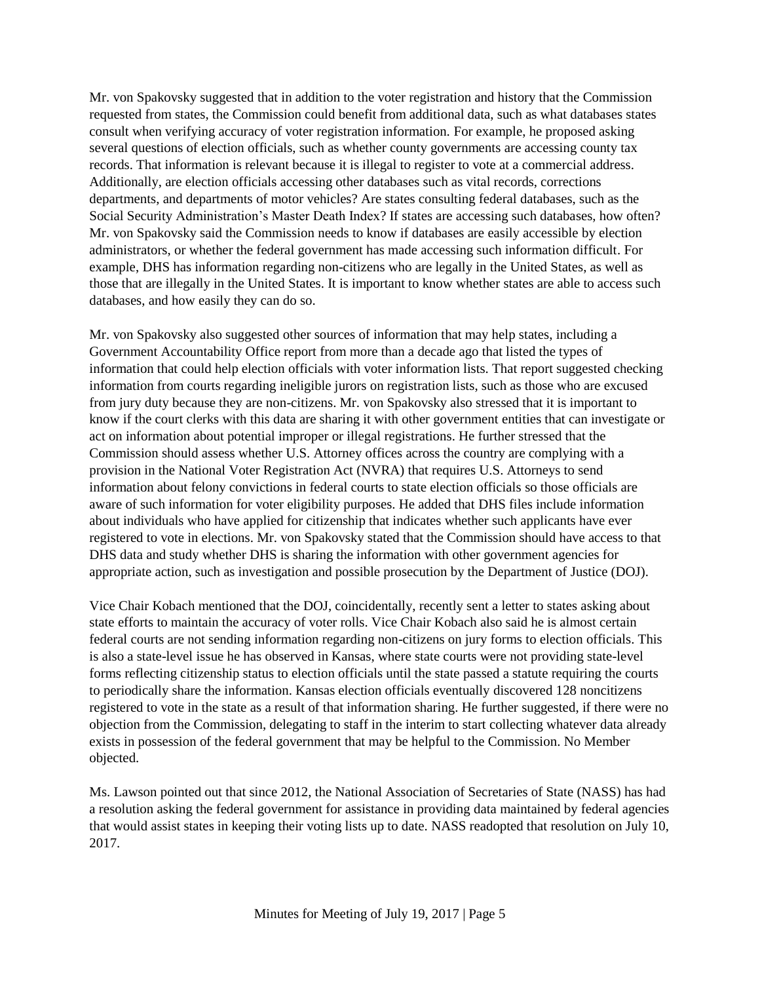Mr. von Spakovsky suggested that in addition to the voter registration and history that the Commission requested from states, the Commission could benefit from additional data, such as what databases states consult when verifying accuracy of voter registration information. For example, he proposed asking several questions of election officials, such as whether county governments are accessing county tax records. That information is relevant because it is illegal to register to vote at a commercial address. Additionally, are election officials accessing other databases such as vital records, corrections departments, and departments of motor vehicles? Are states consulting federal databases, such as the Social Security Administration's Master Death Index? If states are accessing such databases, how often? Mr. von Spakovsky said the Commission needs to know if databases are easily accessible by election administrators, or whether the federal government has made accessing such information difficult. For example, DHS has information regarding non-citizens who are legally in the United States, as well as those that are illegally in the United States. It is important to know whether states are able to access such databases, and how easily they can do so.

Mr. von Spakovsky also suggested other sources of information that may help states, including a Government Accountability Office report from more than a decade ago that listed the types of information that could help election officials with voter information lists. That report suggested checking information from courts regarding ineligible jurors on registration lists, such as those who are excused from jury duty because they are non-citizens. Mr. von Spakovsky also stressed that it is important to know if the court clerks with this data are sharing it with other government entities that can investigate or act on information about potential improper or illegal registrations. He further stressed that the Commission should assess whether U.S. Attorney offices across the country are complying with a provision in the National Voter Registration Act (NVRA) that requires U.S. Attorneys to send information about felony convictions in federal courts to state election officials so those officials are aware of such information for voter eligibility purposes. He added that DHS files include information about individuals who have applied for citizenship that indicates whether such applicants have ever registered to vote in elections. Mr. von Spakovsky stated that the Commission should have access to that DHS data and study whether DHS is sharing the information with other government agencies for appropriate action, such as investigation and possible prosecution by the Department of Justice (DOJ).

Vice Chair Kobach mentioned that the DOJ, coincidentally, recently sent a letter to states asking about state efforts to maintain the accuracy of voter rolls. Vice Chair Kobach also said he is almost certain federal courts are not sending information regarding non-citizens on jury forms to election officials. This is also a state-level issue he has observed in Kansas, where state courts were not providing state-level forms reflecting citizenship status to election officials until the state passed a statute requiring the courts to periodically share the information. Kansas election officials eventually discovered 128 noncitizens registered to vote in the state as a result of that information sharing. He further suggested, if there were no objection from the Commission, delegating to staff in the interim to start collecting whatever data already exists in possession of the federal government that may be helpful to the Commission. No Member objected.

Ms. Lawson pointed out that since 2012, the National Association of Secretaries of State (NASS) has had a resolution asking the federal government for assistance in providing data maintained by federal agencies that would assist states in keeping their voting lists up to date. NASS readopted that resolution on July 10, 2017.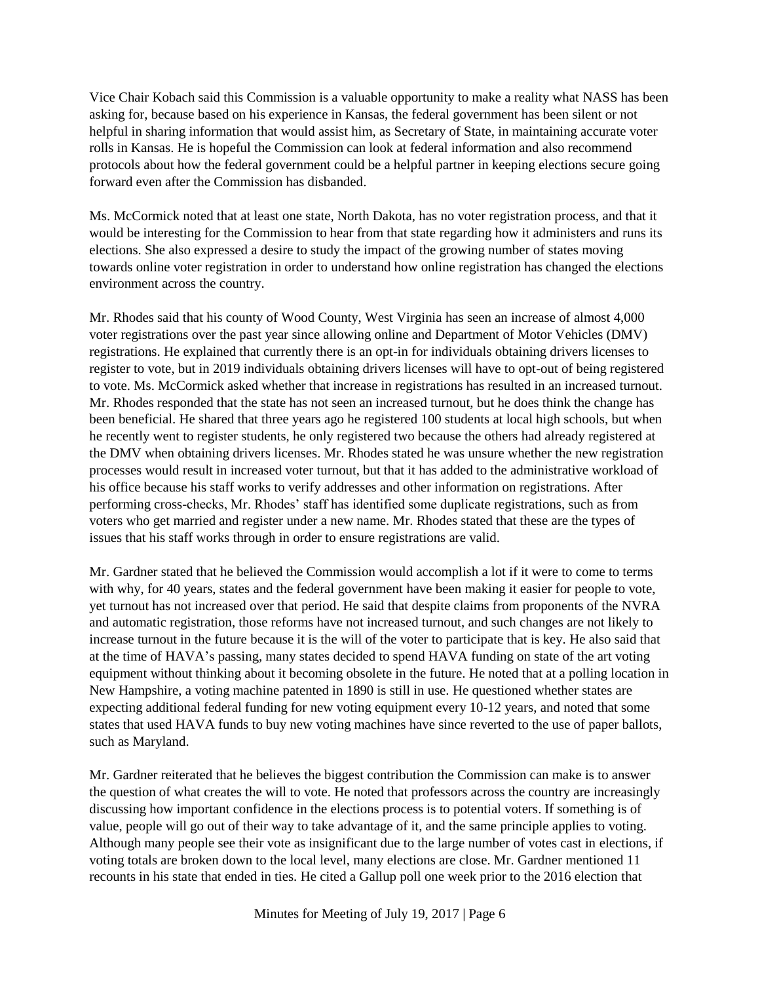Vice Chair Kobach said this Commission is a valuable opportunity to make a reality what NASS has been asking for, because based on his experience in Kansas, the federal government has been silent or not helpful in sharing information that would assist him, as Secretary of State, in maintaining accurate voter rolls in Kansas. He is hopeful the Commission can look at federal information and also recommend protocols about how the federal government could be a helpful partner in keeping elections secure going forward even after the Commission has disbanded.

Ms. McCormick noted that at least one state, North Dakota, has no voter registration process, and that it would be interesting for the Commission to hear from that state regarding how it administers and runs its elections. She also expressed a desire to study the impact of the growing number of states moving towards online voter registration in order to understand how online registration has changed the elections environment across the country.

Mr. Rhodes said that his county of Wood County, West Virginia has seen an increase of almost 4,000 voter registrations over the past year since allowing online and Department of Motor Vehicles (DMV) registrations. He explained that currently there is an opt-in for individuals obtaining drivers licenses to register to vote, but in 2019 individuals obtaining drivers licenses will have to opt-out of being registered to vote. Ms. McCormick asked whether that increase in registrations has resulted in an increased turnout. Mr. Rhodes responded that the state has not seen an increased turnout, but he does think the change has been beneficial. He shared that three years ago he registered 100 students at local high schools, but when he recently went to register students, he only registered two because the others had already registered at the DMV when obtaining drivers licenses. Mr. Rhodes stated he was unsure whether the new registration processes would result in increased voter turnout, but that it has added to the administrative workload of his office because his staff works to verify addresses and other information on registrations. After performing cross-checks, Mr. Rhodes' staff has identified some duplicate registrations, such as from voters who get married and register under a new name. Mr. Rhodes stated that these are the types of issues that his staff works through in order to ensure registrations are valid.

Mr. Gardner stated that he believed the Commission would accomplish a lot if it were to come to terms with why, for 40 years, states and the federal government have been making it easier for people to vote, yet turnout has not increased over that period. He said that despite claims from proponents of the NVRA and automatic registration, those reforms have not increased turnout, and such changes are not likely to increase turnout in the future because it is the will of the voter to participate that is key. He also said that at the time of HAVA's passing, many states decided to spend HAVA funding on state of the art voting equipment without thinking about it becoming obsolete in the future. He noted that at a polling location in New Hampshire, a voting machine patented in 1890 is still in use. He questioned whether states are expecting additional federal funding for new voting equipment every 10-12 years, and noted that some states that used HAVA funds to buy new voting machines have since reverted to the use of paper ballots, such as Maryland.

Mr. Gardner reiterated that he believes the biggest contribution the Commission can make is to answer the question of what creates the will to vote. He noted that professors across the country are increasingly discussing how important confidence in the elections process is to potential voters. If something is of value, people will go out of their way to take advantage of it, and the same principle applies to voting. Although many people see their vote as insignificant due to the large number of votes cast in elections, if voting totals are broken down to the local level, many elections are close. Mr. Gardner mentioned 11 recounts in his state that ended in ties. He cited a Gallup poll one week prior to the 2016 election that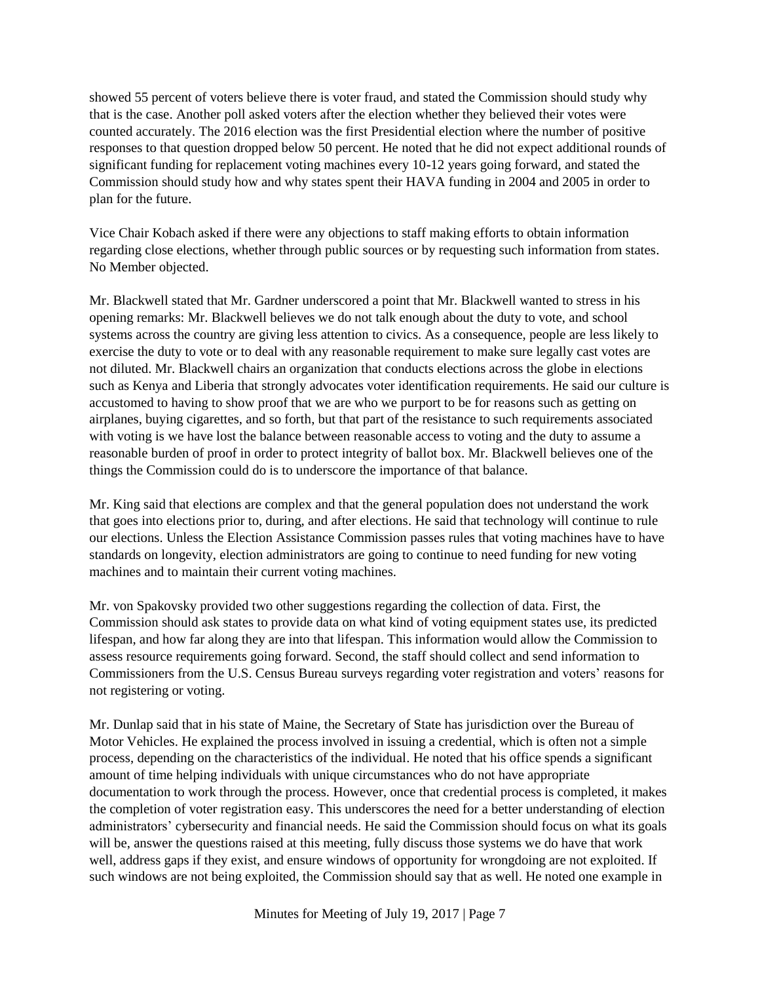showed 55 percent of voters believe there is voter fraud, and stated the Commission should study why that is the case. Another poll asked voters after the election whether they believed their votes were counted accurately. The 2016 election was the first Presidential election where the number of positive responses to that question dropped below 50 percent. He noted that he did not expect additional rounds of significant funding for replacement voting machines every 10-12 years going forward, and stated the Commission should study how and why states spent their HAVA funding in 2004 and 2005 in order to plan for the future.

Vice Chair Kobach asked if there were any objections to staff making efforts to obtain information regarding close elections, whether through public sources or by requesting such information from states. No Member objected.

Mr. Blackwell stated that Mr. Gardner underscored a point that Mr. Blackwell wanted to stress in his opening remarks: Mr. Blackwell believes we do not talk enough about the duty to vote, and school systems across the country are giving less attention to civics. As a consequence, people are less likely to exercise the duty to vote or to deal with any reasonable requirement to make sure legally cast votes are not diluted. Mr. Blackwell chairs an organization that conducts elections across the globe in elections such as Kenya and Liberia that strongly advocates voter identification requirements. He said our culture is accustomed to having to show proof that we are who we purport to be for reasons such as getting on airplanes, buying cigarettes, and so forth, but that part of the resistance to such requirements associated with voting is we have lost the balance between reasonable access to voting and the duty to assume a reasonable burden of proof in order to protect integrity of ballot box. Mr. Blackwell believes one of the things the Commission could do is to underscore the importance of that balance.

Mr. King said that elections are complex and that the general population does not understand the work that goes into elections prior to, during, and after elections. He said that technology will continue to rule our elections. Unless the Election Assistance Commission passes rules that voting machines have to have standards on longevity, election administrators are going to continue to need funding for new voting machines and to maintain their current voting machines.

Mr. von Spakovsky provided two other suggestions regarding the collection of data. First, the Commission should ask states to provide data on what kind of voting equipment states use, its predicted lifespan, and how far along they are into that lifespan. This information would allow the Commission to assess resource requirements going forward. Second, the staff should collect and send information to Commissioners from the U.S. Census Bureau surveys regarding voter registration and voters' reasons for not registering or voting.

Mr. Dunlap said that in his state of Maine, the Secretary of State has jurisdiction over the Bureau of Motor Vehicles. He explained the process involved in issuing a credential, which is often not a simple process, depending on the characteristics of the individual. He noted that his office spends a significant amount of time helping individuals with unique circumstances who do not have appropriate documentation to work through the process. However, once that credential process is completed, it makes the completion of voter registration easy. This underscores the need for a better understanding of election administrators' cybersecurity and financial needs. He said the Commission should focus on what its goals will be, answer the questions raised at this meeting, fully discuss those systems we do have that work well, address gaps if they exist, and ensure windows of opportunity for wrongdoing are not exploited. If such windows are not being exploited, the Commission should say that as well. He noted one example in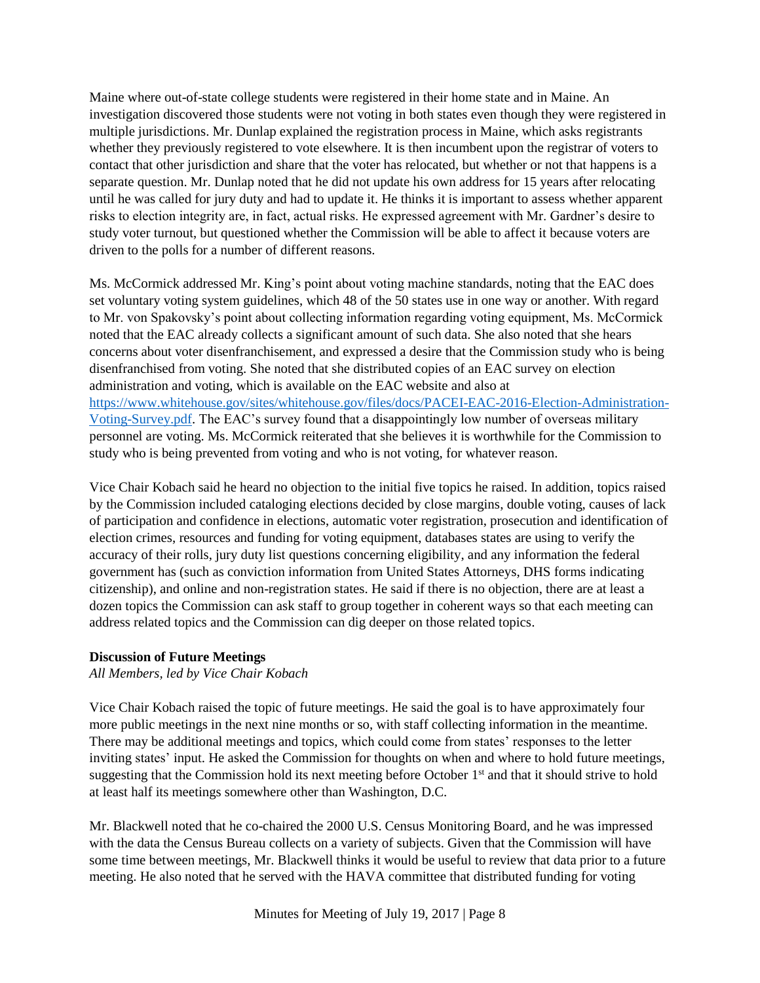Maine where out-of-state college students were registered in their home state and in Maine. An investigation discovered those students were not voting in both states even though they were registered in multiple jurisdictions. Mr. Dunlap explained the registration process in Maine, which asks registrants whether they previously registered to vote elsewhere. It is then incumbent upon the registrar of voters to contact that other jurisdiction and share that the voter has relocated, but whether or not that happens is a separate question. Mr. Dunlap noted that he did not update his own address for 15 years after relocating until he was called for jury duty and had to update it. He thinks it is important to assess whether apparent risks to election integrity are, in fact, actual risks. He expressed agreement with Mr. Gardner's desire to study voter turnout, but questioned whether the Commission will be able to affect it because voters are driven to the polls for a number of different reasons.

Ms. McCormick addressed Mr. King's point about voting machine standards, noting that the EAC does set voluntary voting system guidelines, which 48 of the 50 states use in one way or another. With regard to Mr. von Spakovsky's point about collecting information regarding voting equipment, Ms. McCormick noted that the EAC already collects a significant amount of such data. She also noted that she hears concerns about voter disenfranchisement, and expressed a desire that the Commission study who is being disenfranchised from voting. She noted that she distributed copies of an EAC survey on election administration and voting, which is available on the EAC website and also at [https://www.whitehouse.gov/sites/whitehouse.gov/files/docs/PACEI-EAC-2016-Election-Administration-](https://www.whitehouse.gov/sites/whitehouse.gov/files/docs/PACEI-EAC-2016-Election-Administration-Voting-Survey.pdf)[Voting-Survey.pdf.](https://www.whitehouse.gov/sites/whitehouse.gov/files/docs/PACEI-EAC-2016-Election-Administration-Voting-Survey.pdf) The EAC's survey found that a disappointingly low number of overseas military personnel are voting. Ms. McCormick reiterated that she believes it is worthwhile for the Commission to study who is being prevented from voting and who is not voting, for whatever reason.

Vice Chair Kobach said he heard no objection to the initial five topics he raised. In addition, topics raised by the Commission included cataloging elections decided by close margins, double voting, causes of lack of participation and confidence in elections, automatic voter registration, prosecution and identification of election crimes, resources and funding for voting equipment, databases states are using to verify the accuracy of their rolls, jury duty list questions concerning eligibility, and any information the federal government has (such as conviction information from United States Attorneys, DHS forms indicating citizenship), and online and non-registration states. He said if there is no objection, there are at least a dozen topics the Commission can ask staff to group together in coherent ways so that each meeting can address related topics and the Commission can dig deeper on those related topics.

### **Discussion of Future Meetings**

*All Members, led by Vice Chair Kobach*

Vice Chair Kobach raised the topic of future meetings. He said the goal is to have approximately four more public meetings in the next nine months or so, with staff collecting information in the meantime. There may be additional meetings and topics, which could come from states' responses to the letter inviting states' input. He asked the Commission for thoughts on when and where to hold future meetings, suggesting that the Commission hold its next meeting before October 1<sup>st</sup> and that it should strive to hold at least half its meetings somewhere other than Washington, D.C.

Mr. Blackwell noted that he co-chaired the 2000 U.S. Census Monitoring Board, and he was impressed with the data the Census Bureau collects on a variety of subjects. Given that the Commission will have some time between meetings, Mr. Blackwell thinks it would be useful to review that data prior to a future meeting. He also noted that he served with the HAVA committee that distributed funding for voting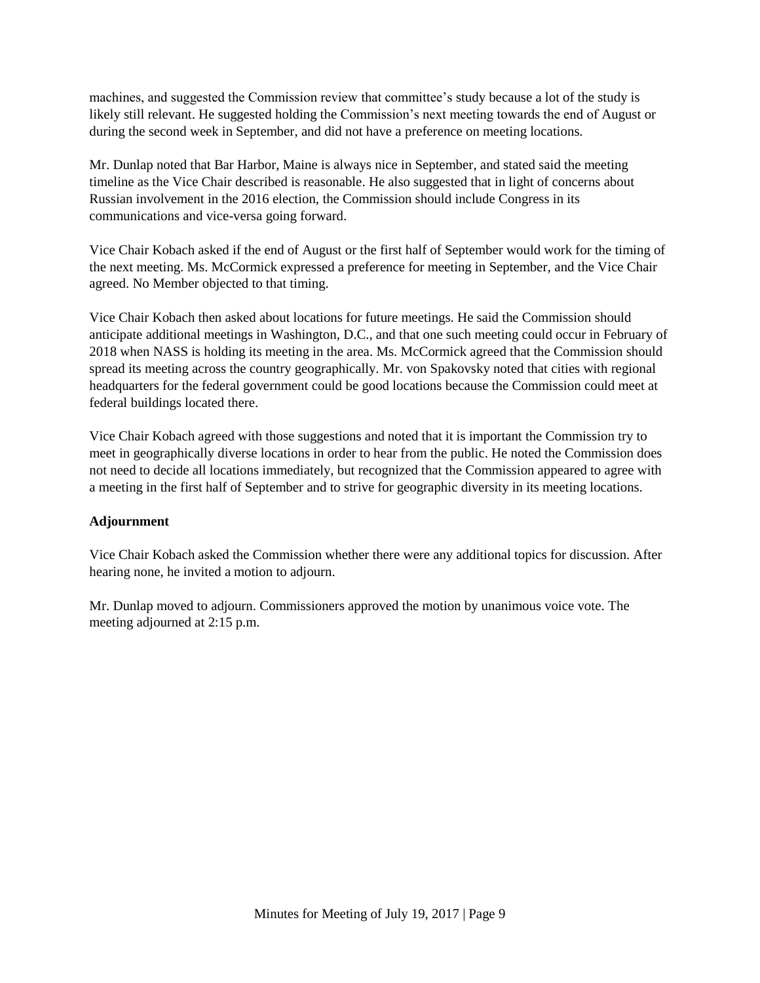machines, and suggested the Commission review that committee's study because a lot of the study is likely still relevant. He suggested holding the Commission's next meeting towards the end of August or during the second week in September, and did not have a preference on meeting locations.

Mr. Dunlap noted that Bar Harbor, Maine is always nice in September, and stated said the meeting timeline as the Vice Chair described is reasonable. He also suggested that in light of concerns about Russian involvement in the 2016 election, the Commission should include Congress in its communications and vice-versa going forward.

Vice Chair Kobach asked if the end of August or the first half of September would work for the timing of the next meeting. Ms. McCormick expressed a preference for meeting in September, and the Vice Chair agreed. No Member objected to that timing.

Vice Chair Kobach then asked about locations for future meetings. He said the Commission should anticipate additional meetings in Washington, D.C., and that one such meeting could occur in February of 2018 when NASS is holding its meeting in the area. Ms. McCormick agreed that the Commission should spread its meeting across the country geographically. Mr. von Spakovsky noted that cities with regional headquarters for the federal government could be good locations because the Commission could meet at federal buildings located there.

Vice Chair Kobach agreed with those suggestions and noted that it is important the Commission try to meet in geographically diverse locations in order to hear from the public. He noted the Commission does not need to decide all locations immediately, but recognized that the Commission appeared to agree with a meeting in the first half of September and to strive for geographic diversity in its meeting locations.

## **Adjournment**

Vice Chair Kobach asked the Commission whether there were any additional topics for discussion. After hearing none, he invited a motion to adjourn.

Mr. Dunlap moved to adjourn. Commissioners approved the motion by unanimous voice vote. The meeting adjourned at 2:15 p.m.